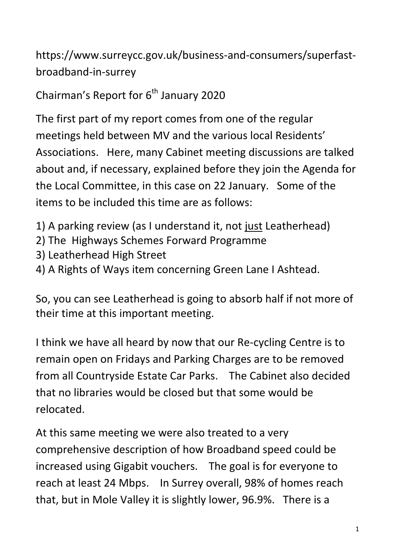https://www.surreycc.gov.uk/business-and-consumers/superfastbroadband-in-surrey

Chairman's Report for  $6<sup>th</sup>$  January 2020

The first part of my report comes from one of the regular meetings held between MV and the various local Residents' Associations. Here, many Cabinet meeting discussions are talked about and, if necessary, explained before they join the Agenda for the Local Committee, in this case on 22 January. Some of the items to be included this time are as follows:

- 1) A parking review (as I understand it, not just Leatherhead)
- 2) The Highways Schemes Forward Programme
- 3) Leatherhead High Street
- 4) A Rights of Ways item concerning Green Lane I Ashtead.

So, you can see Leatherhead is going to absorb half if not more of their time at this important meeting.

I think we have all heard by now that our Re-cycling Centre is to remain open on Fridays and Parking Charges are to be removed from all Countryside Estate Car Parks. The Cabinet also decided that no libraries would be closed but that some would be relocated.

At this same meeting we were also treated to a very comprehensive description of how Broadband speed could be increased using Gigabit vouchers. The goal is for everyone to reach at least 24 Mbps. In Surrey overall, 98% of homes reach that, but in Mole Valley it is slightly lower, 96.9%. There is a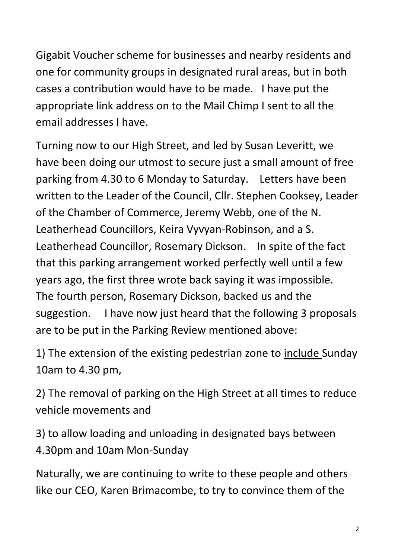Gigabit Voucher scheme for businesses and nearby residents and one for community groups in designated rural areas, but in both cases a contribution would have to be made. I have put the appropriate link address on to the Mail Chimp I sent to all the email addresses I have.

Turning now to our High Street, and led by Susan Leveritt, we have been doing our utmost to secure just a small amount of free parking from 4.30 to 6 Monday to Saturday. Letters have been written to the Leader of the Council, Cllr. Stephen Cooksey, Leader of the Chamber of Commerce, Jeremy Webb, one of the N. Leatherhead Councillors, Keira Vyvyan-Robinson, and a S. Leatherhead Councillor, Rosemary Dickson. In spite of the fact that this parking arrangement worked perfectly well until a few years ago, the first three wrote back saying it was impossible. The fourth person, Rosemary Dickson, backed us and the suggestion. I have now just heard that the following 3 proposals are to be put in the Parking Review mentioned above:

1) The extension of the existing pedestrian zone to include Sunday 10am to 4.30 pm,

2) The removal of parking on the High Street at all times to reduce vehicle movements and

3) to allow loading and unloading in designated bays between 4.30pm and 10am Mon-Sunday

Naturally, we are continuing to write to these people and others like our CEO, Karen Brimacombe, to try to convince them of the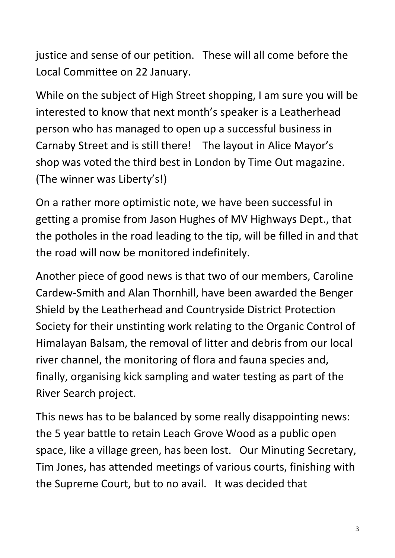justice and sense of our petition. These will all come before the Local Committee on 22 January.

While on the subject of High Street shopping, I am sure you will be interested to know that next month's speaker is a Leatherhead person who has managed to open up a successful business in Carnaby Street and is still there! The layout in Alice Mayor's shop was voted the third best in London by Time Out magazine. (The winner was Liberty's!)

On a rather more optimistic note, we have been successful in getting a promise from Jason Hughes of MV Highways Dept., that the potholes in the road leading to the tip, will be filled in and that the road will now be monitored indefinitely.

Another piece of good news is that two of our members, Caroline Cardew-Smith and Alan Thornhill, have been awarded the Benger Shield by the Leatherhead and Countryside District Protection Society for their unstinting work relating to the Organic Control of Himalayan Balsam, the removal of litter and debris from our local river channel, the monitoring of flora and fauna species and, finally, organising kick sampling and water testing as part of the River Search project.

This news has to be balanced by some really disappointing news: the 5 year battle to retain Leach Grove Wood as a public open space, like a village green, has been lost. Our Minuting Secretary, Tim Jones, has attended meetings of various courts, finishing with the Supreme Court, but to no avail. It was decided that